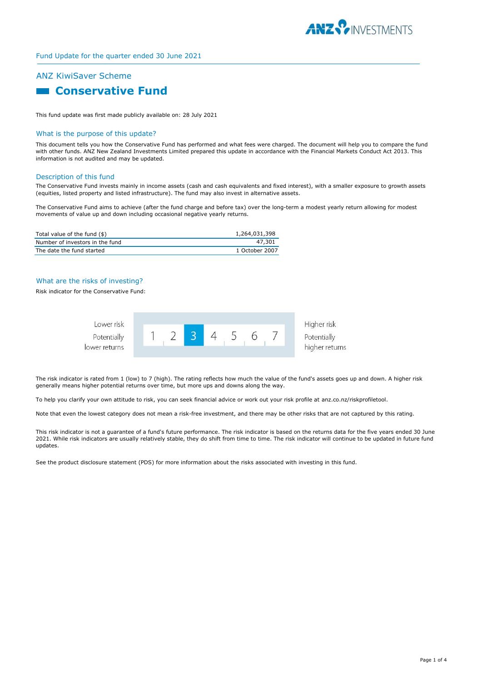

# ANZ KiwiSaver Scheme

# **Conservative Fund**

This fund update was first made publicly available on: 28 July 2021

#### What is the purpose of this update?

This document tells you how the Conservative Fund has performed and what fees were charged. The document will help you to compare the fund with other funds. ANZ New Zealand Investments Limited prepared this update in accordance with the Financial Markets Conduct Act 2013. This information is not audited and may be updated.

#### Description of this fund

The Conservative Fund invests mainly in income assets (cash and cash equivalents and fixed interest), with a smaller exposure to growth assets (equities, listed property and listed infrastructure). The fund may also invest in alternative assets.

The Conservative Fund aims to achieve (after the fund charge and before tax) over the long-term a modest yearly return allowing for modest movements of value up and down including occasional negative yearly returns.

| Total value of the fund (\$)    | 1,264,031,398  |
|---------------------------------|----------------|
| Number of investors in the fund | 47.301         |
| The date the fund started       | 1 October 2007 |

### What are the risks of investing?

Risk indicator for the Conservative Fund:



The risk indicator is rated from 1 (low) to 7 (high). The rating reflects how much the value of the fund's assets goes up and down. A higher risk generally means higher potential returns over time, but more ups and downs along the way.

To help you clarify your own attitude to risk, you can seek financial advice or work out your risk profile at anz.co.nz/riskprofiletool.

Note that even the lowest category does not mean a risk-free investment, and there may be other risks that are not captured by this rating.

This risk indicator is not a guarantee of a fund's future performance. The risk indicator is based on the returns data for the five years ended 30 June 2021. While risk indicators are usually relatively stable, they do shift from time to time. The risk indicator will continue to be updated in future fund updates.

See the product disclosure statement (PDS) for more information about the risks associated with investing in this fund.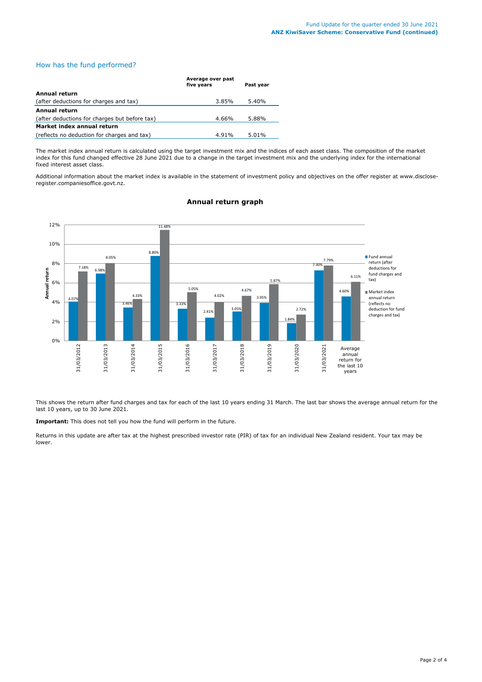# How has the fund performed?

|                                               | Average over past<br>five years | Past year |
|-----------------------------------------------|---------------------------------|-----------|
| Annual return                                 |                                 |           |
| (after deductions for charges and tax)        | 3.85%                           | 5.40%     |
| Annual return                                 |                                 |           |
| (after deductions for charges but before tax) | 4.66%                           | 5.88%     |
| Market index annual return                    |                                 |           |
| (reflects no deduction for charges and tax)   | 4.91%                           | 5.01%     |

The market index annual return is calculated using the target investment mix and the indices of each asset class. The composition of the market index for this fund changed effective 28 June 2021 due to a change in the target investment mix and the underlying index for the international fixed interest asset class.

Additional information about the market index is available in the statement of investment policy and objectives on the offer register at www.discloseregister.companiesoffice.govt.nz.



# **Annual return graph**

This shows the return after fund charges and tax for each of the last 10 years ending 31 March. The last bar shows the average annual return for the last 10 years, up to 30 June 2021.

**Important:** This does not tell you how the fund will perform in the future.

Returns in this update are after tax at the highest prescribed investor rate (PIR) of tax for an individual New Zealand resident. Your tax may be lower.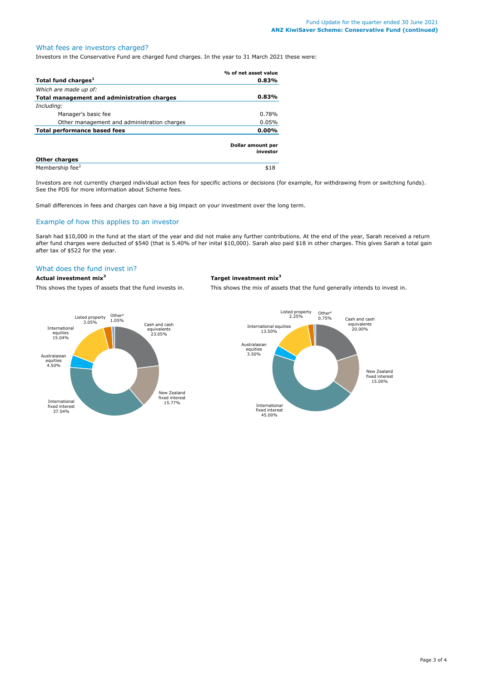# What fees are investors charged?

Investors in the Conservative Fund are charged fund charges. In the year to 31 March 2021 these were:

|                                             | % of net asset value          |
|---------------------------------------------|-------------------------------|
| Total fund charges <sup>1</sup>             | 0.83%                         |
| Which are made up of:                       |                               |
| Total management and administration charges | 0.83%                         |
| Including:                                  |                               |
| Manager's basic fee                         | 0.78%                         |
| Other management and administration charges | 0.05%                         |
| <b>Total performance based fees</b>         | $0.00\%$                      |
|                                             | Dollar amount per<br>investor |
| <b>Other charges</b>                        |                               |
| Membership fee <sup>2</sup>                 | \$18                          |

Investors are not currently charged individual action fees for specific actions or decisions (for example, for withdrawing from or switching funds). See the PDS for more information about Scheme fees.

Small differences in fees and charges can have a big impact on your investment over the long term.

#### Example of how this applies to an investor

Sarah had \$10,000 in the fund at the start of the year and did not make any further contributions. At the end of the year, Sarah received a return after fund charges were deducted of \$540 (that is 5.40% of her inital \$10,000). Sarah also paid \$18 in other charges. This gives Sarah a total gain after tax of \$522 for the year.

# What does the fund invest in?

#### **Actual investment mix<sup>3</sup> Target investment mix<sup>3</sup>**

This shows the types of assets that the fund invests in. This shows the mix of assets that the fund generally intends to invest in.